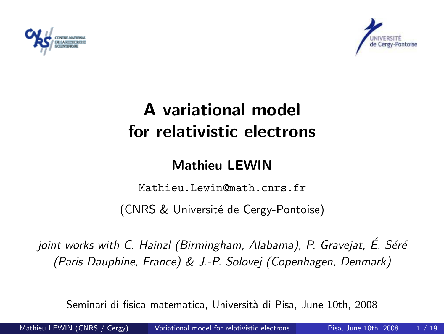



# A variational model for relativistic electrons

#### <span id="page-0-0"></span>Mathieu LEWIN

Mathieu.Lewin@math.cnrs.fr

(CNRS & Universit´e de Cergy-Pontoise)

joint works with C. Hainzl (Birmingham, Alabama), P. Gravejat, E. Séré (Paris Dauphine, France) & J.-P. Solovej (Copenhagen, Denmark)

Seminari di fisica matematica, Università di Pisa, June 10th, 2008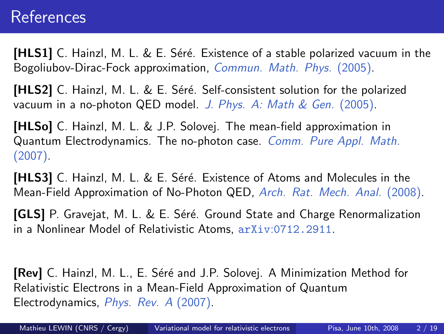### References

**[HLS1]** C. Hainzl, M. L. & E. Séré. Existence of a stable polarized vacuum in the Bogoliubov-Dirac-Fock approximation, Commun. Math. Phys. (2005).

[HLS2] C. Hainzl, M. L. & E. Séré. Self-consistent solution for the polarized vacuum in a no-photon QED model. J. Phys. A: Math & Gen. (2005).

[HLSo] C. Hainzl, M. L. & J.P. Solovej. The mean-field approximation in Quantum Electrodynamics. The no-photon case. Comm. Pure Appl. Math. (2007).

**[HLS3]** C. Hainzl, M. L. & E. Séré. Existence of Atoms and Molecules in the Mean-Field Approximation of No-Photon QED, Arch. Rat. Mech. Anal. (2008).

[GLS] P. Gravejat, M. L. & E. Séré. Ground State and Charge Renormalization in a Nonlinear Model of Relativistic Atoms, arXiv:0712.2911.

[Rev] C. Hainzl, M. L., E. Séré and J.P. Solovej. A Minimization Method for Relativistic Electrons in a Mean-Field Approximation of Quantum Electrodynamics, Phys. Rev. A (2007).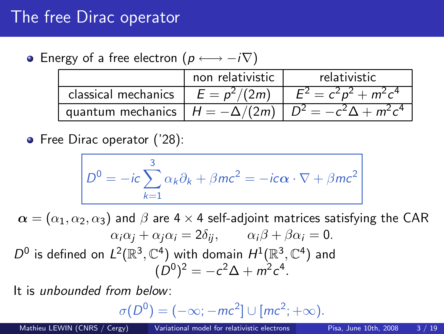### The free Dirac operator

• Energy of a free electron  $(p \leftrightarrow -i\nabla)$ 

|                                    | non relativistic | relativistic                                                     |
|------------------------------------|------------------|------------------------------------------------------------------|
| classical mechanics $E = p^2/(2m)$ |                  | $E^2 = c^2 p^2 + m^2 c^4$                                        |
|                                    |                  | quantum mechanics $H = -\Delta/(2m)$ $D^2 = -c^2\Delta + m^2c^4$ |

• Free Dirac operator ('28):

$$
D^{0} = -ic \sum_{k=1}^{3} \alpha_{k} \partial_{k} + \beta mc^{2} = -ic\alpha \cdot \nabla + \beta mc^{2}
$$

 $\alpha = (\alpha_1, \alpha_2, \alpha_3)$  and  $\beta$  are 4  $\times$  4 self-adjoint matrices satisfying the CAR  $\alpha_i \alpha_i + \alpha_i \alpha_i = 2\delta_{ii}, \qquad \alpha_i \beta + \beta \alpha_i = 0.$  $D^0$  is defined on  $L^2(\mathbb{R}^3,\mathbb{C}^4)$  with domain  $H^1(\mathbb{R}^3,\mathbb{C}^4)$  and  $(D^0)^2 = -c^2\Delta + m^2c^4$ .

It is unbounded from below:

$$
\sigma(D^0)=(-\infty;-mc^2]\cup [mc^2;+\infty).
$$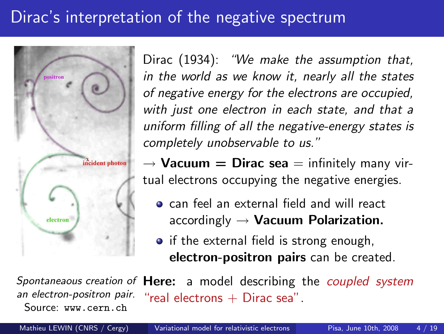## Dirac's interpretation of the negative spectrum



Dirac (1934): "We make the assumption that, in the world as we know it, nearly all the states of negative energy for the electrons are occupied, with just one electron in each state, and that a uniform filling of all the negative-energy states is completely unobservable to us."

 $\rightarrow$  Vacuum = Dirac sea = infinitely many virtual electrons occupying the negative energies.

- **o** can feel an external field and will react accordingly  $\rightarrow$  Vacuum Polarization.
- if the external field is strong enough, electron-positron pairs can be created.

Spontaneaous creation of Here: a model describing the coupled system an electron-positron pair. Source: www.cern.ch "real electrons  $+$  Dirac sea".

Mathieu LEWIN (CNRS / Cergy) [Variational model for relativistic electrons](#page-0-0) Pisa, June 10th, 2008 4 / 19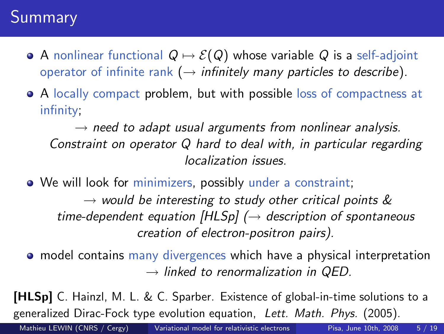## **Summary**

- A nonlinear functional  $Q \mapsto \mathcal{E}(Q)$  whose variable Q is a self-adjoint operator of infinite rank ( $\rightarrow$  infinitely many particles to describe).
- A locally compact problem, but with possible loss of compactness at infinity;

 $\rightarrow$  need to adapt usual arguments from nonlinear analysis. Constraint on operator Q hard to deal with, in particular regarding localization issues.

• We will look for minimizers, possibly under a constraint;  $\rightarrow$  would be interesting to study other critical points  $\&$ time-dependent equation  $[HLSp]$  ( $\rightarrow$  description of spontaneous creation of electron-positron pairs).

model contains many divergences which have a physical interpretation  $\rightarrow$  linked to renormalization in QED.

[HLSp] C. Hainzl, M. L. & C. Sparber. Existence of global-in-time solutions to a generalized Dirac-Fock type evolution equation, Lett. Math. Phys. (2005).

Mathieu LEWIN (CNRS / Cergy) [Variational model for relativistic electrons](#page-0-0) Pisa, June 10th, 2008 5 / 19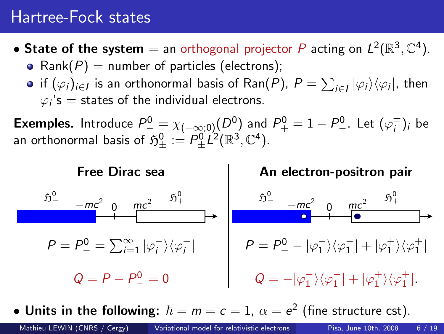### Hartree-Fock states

- State of the system  $=$  an orthogonal projector  $P$  acting on  $L^2(\mathbb{R}^3,\mathbb{C}^4)$ . • Rank( $P$ ) = number of particles (electrons);
	- if  $(\varphi_i)_{i\in I}$  is an orthonormal basis of Ran $(P)$ ,  $P=\sum_{i\in I} |\varphi_i\rangle\langle\varphi_i|$ , then  $\varphi_i$ 's  $=$  states of the individual electrons.

**Exemples.** Introduce  $P^0_-\equiv \chi_{(-\infty;0)}(D^0)$  and  $P^0_+=1-P^0_-\,.$  Let  $(\varphi_i^\pm)_i$  be an orthonormal basis of  $\mathfrak{H}^0_\pm:=P^0_\pm \dot{L^2}(\mathbb{R}^3,\mathbb{C}^4).$ 



• Units in the following:  $\hbar = m = c = 1$ ,  $\alpha = e^2$  (fine structure cst).

Mathieu LEWIN (CNRS / Cergy) [Variational model for relativistic electrons](#page-0-0) Pisa, June 10th, 2008 6 / 19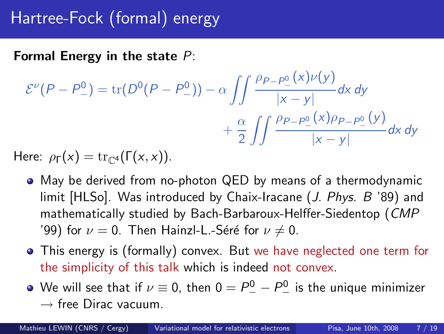# Hartree-Fock (formal) energy

Formal Energy in the state  $P$ :

$$
\mathcal{E}^{\nu}(P - P_{-}^{0}) = \text{tr}(D^{0}(P - P_{-}^{0})) - \alpha \iint \frac{\rho_{P - P_{-}^{0}}(x)\nu(y)}{|x - y|} dx dy
$$

$$
+ \frac{\alpha}{2} \iint \frac{\rho_{P - P_{-}^{0}}(x)\rho_{P - P_{-}^{0}}(y)}{|x - y|} dx dy
$$

Here:  $\rho_{\Gamma}(x) = \text{tr}_{\mathbb{C}^{4}}(\Gamma(x,x)).$ 

- May be derived from no-photon QED by means of a thermodynamic limit [HLSo]. Was introduced by Chaix-Iracane (J. Phys. B '89) and mathematically studied by Bach-Barbaroux-Helffer-Siedentop (CMP '99) for  $\nu = 0$ . Then Hainzl-L.-Séré for  $\nu \neq 0$ .
- This energy is (formally) convex. But we have neglected one term for the simplicity of this talk which is indeed not convex.
- We will see that if  $\nu\equiv 0$ , then  $0=P_{-}^0-P_{-}^0$  is the unique minimizer  $\rightarrow$  free Dirac vacuum.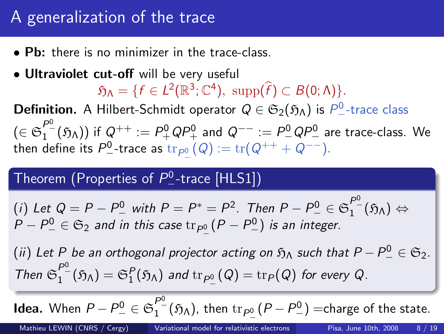## A generalization of the trace

- Pb: there is no minimizer in the trace-class.
- Ultraviolet cut-off will be very useful

 $\mathfrak{H}_{\Lambda} = \{f \in L^2(\mathbb{R}^3; \mathbb{C}^4), \text{ supp}(\hat{f}) \subset B(0; \Lambda)\}.$ 

**Definition.** A Hilbert-Schmidt operator  $Q \in \mathfrak{S}_2(\mathfrak{H}_\Lambda)$  is  $P^0_-$ -trace class  $(\in\mathfrak{S}^{P0}_{1}(\mathfrak{H}_{\Lambda}))$  if  $Q^{++}:=P^0_+QP^0_+$  and  $Q^{--}:=P^0_-QP^0_-$  are trace-class. We then define its  $P^0_-$ -trace as  ${\rm tr}_{P^0_-}(Q):={\rm tr}(Q^{++}+Q^{--}).$ 

# Theorem (Properties of  $P_{-}^{0}$ -trace [HLS1])

(i) Let 
$$
Q = P - P^0
$$
 with  $P = P^* = P^2$ . Then  $P - P^0 = \mathfrak{S}_1^{P^0}(\mathfrak{H}_\Lambda) \Leftrightarrow P - P^0 = \mathfrak{S}_2$  and in this case  $\text{tr}_{P^0} (P - P^0)$  is an integer.

 $(ii)$  Let  $P$  be an orthogonal projector acting on  $\mathfrak{H}_\Lambda$  such that  $P-P_-^0\in\mathfrak{S}_2.$ Then  $\mathfrak{S}_1^{P^0}(\mathfrak{H}_\Lambda)=\mathfrak{S}_1^P(\mathfrak{H}_\Lambda)$  and  $\mathrm{tr}_{P^0_-}(Q)=\mathrm{tr}_P(Q)$  for every Q.

**Idea.** When  $P-P_{-}^0\in\mathfrak{S}^{P_{-}^0}_1(\mathfrak{H}_\Lambda)$ , then  $\mathrm{tr}_{P_{-}^0}(P-P_{-}^0)$   $=$ charge of the state.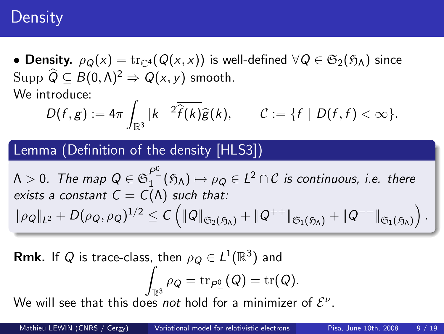### **Density**

• Density.  $\rho_Q(x) = \text{tr}_{\mathbb{C}^4}(Q(x, x))$  is well-defined  $\forall Q \in \mathfrak{S}_2(\mathfrak{H}_\Lambda)$  since Supp  $\widehat{Q} \subset B(0, \Lambda)^2 \Rightarrow Q(x, y)$  smooth. We introduce:

$$
D(f,g):=4\pi\int_{\mathbb{R}^3}|k|^{-2}\overline{\widehat{f}(k)}\widehat{g}(k),\qquad \mathcal{C}:=\{f\mid D(f,f)<\infty\}.
$$

#### Lemma (Definition of the density [HLS3])

 $\Lambda>0.$  The map  $Q\in\mathfrak{S}^{P\mathfrak{0}}_{1}(\mathfrak{H}_{\Lambda})\mapsto\rho_{Q}\in L^{2}\cap\mathcal{C}$  is continuous, i.e. there exists a constant  $C = C(\Lambda)$  such that:  $\|\rho_Q\|_{L^2}+D(\rho_Q,\rho_Q)^{1/2}\leq C\left(\|Q\|_{\mathfrak{S}_2(\mathfrak{H}_\Lambda)}+\|Q^{++}\|_{\mathfrak{S}_1(\mathfrak{H}_\Lambda)}+\|Q^{--}\|_{\mathfrak{S}_1(\mathfrak{H}_\Lambda)}\right).$ 

**Rmk.** If  $Q$  is trace-class, then  $\rho_Q \in L^1(\mathbb{R}^3)$  and Z  $\int_{\mathbb{R}^3} \rho_Q = \operatorname{tr}_{P_-^0}(Q) = \operatorname{tr}(Q).$ 

We will see that this does not hold for a minimizer of  $\mathcal{E}^{\nu}.$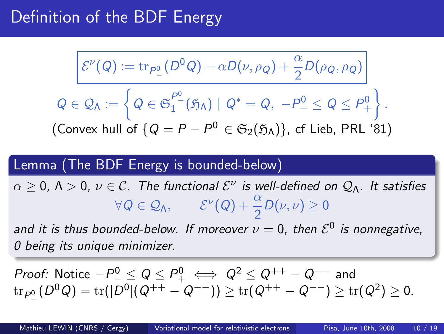## Definition of the BDF Energy

$$
\mathcal{E}^{\nu}(Q) := \text{tr}_{P_{\underline{0}}} (D^0 Q) - \alpha D(\nu, \rho_Q) + \frac{\alpha}{2} D(\rho_Q, \rho_Q)
$$
\n
$$
Q \in \mathcal{Q}_{\Lambda} := \left\{ Q \in \mathfrak{S}_1^{P^0}(\mathfrak{H}_{\Lambda}) \mid Q^* = Q, \ -P^0 \le Q \le P^0_+ \right\}.
$$
\n(Convex hull of  $\{Q = P - P^0 \in \mathfrak{S}_2(\mathfrak{H}_{\Lambda})\}$ , cf Lieb, PRL '81)

#### Lemma (The BDF Energy is bounded-below)

 $\alpha \geq 0$ ,  $\Lambda > 0$ ,  $\nu \in \mathcal{C}$ . The functional  $\mathcal{E}^{\nu}$  is well-defined on  $\mathcal{Q}_{\Lambda}$ . It satisfies  $\forall Q \in \mathcal{Q}_\Lambda, \qquad \mathcal{E}^{\nu}(Q) + \frac{\alpha}{2}D(\nu, \nu) \geq 0$ 

and it is thus bounded-below. If moreover  $\nu=0$ , then  $\mathcal{E}^0$  is nonnegative, 0 being its unique minimizer.

*Proof:* Notice 
$$
-P_{-}^{0} \leq Q \leq P_{+}^{0} \iff Q^{2} \leq Q^{++} - Q^{--}
$$
 and  $\text{tr}_{P_{-}^{0}}(D^{0}Q) = \text{tr}(|D^{0}|(Q^{++} - Q^{--})) \geq \text{tr}(Q^{++} - Q^{--}) \geq \text{tr}(Q^{2}) \geq 0.$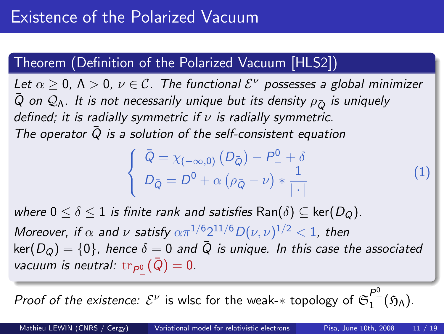### Theorem (Definition of the Polarized Vacuum [HLS2])

Let  $\alpha \geq 0$ ,  $\Lambda > 0$ ,  $\nu \in \mathcal{C}$ . The functional  $\mathcal{E}^{\nu}$  possesses a global minimizer  $\bar{Q}$  on  $\mathcal{Q}_\Lambda$ . It is not necessarily unique but its density  $\rho_{\bar{Q}}$  is uniquely defined; it is radially symmetric if  $\nu$  is radially symmetric. The operator  $\overline{Q}$  is a solution of the self-consistent equation

$$
\begin{cases} \n\bar{Q} = \chi_{(-\infty,0)} (D_{\bar{Q}}) - P_{-}^{0} + \delta \\ \nD_{\bar{Q}} = D^{0} + \alpha \left( \rho_{\bar{Q}} - \nu \right) * \frac{1}{|\cdot|} \n\end{cases}
$$
\n(1)

where  $0 \le \delta \le 1$  is finite rank and satisfies  $\text{Ran}(\delta) \subseteq \text{ker}(D_Q)$ . Moreover, if  $\alpha$  and  $\nu$  satisfy  $\alpha \pi^{1/6} 2^{11/6} D(\nu, \nu)^{1/2} < 1$ , then  $\ker(D_{Q}) = \{0\}$ , hence  $\delta = 0$  and  $\overline{Q}$  is unique. In this case the associated vacuum is neutral:  $\mathrm{tr}_{P^0_-}(\bar Q)=0.$ 

*Proof of the existence:*  $\mathcal{E}^{\nu}$  *is wlsc for the weak-* $*$  *topology of*  $\mathfrak{S}^{P^0_-}_{1-}(\mathfrak{H}_\Lambda).$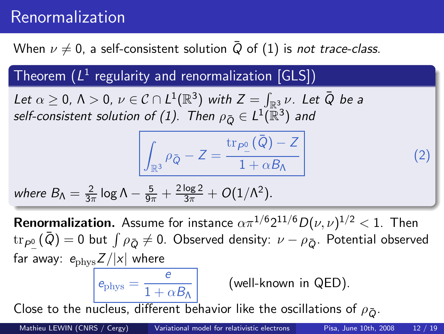## Renormalization

When  $\nu \neq 0$ , a self-consistent solution  $\overline{Q}$  of (1) is not trace-class.

Theorem  $(L^1$  regularity and renormalization  $[\mathsf{GLS}])$ 

Let  $\alpha\geq$  0,  $\Lambda>$  0,  $\nu\in\mathcal{C}\cap L^{1}(\mathbb{R}^{3})$  with  $Z=\int_{\mathbb{R}^{3}}\nu$ . Let  $\bar{Q}$  be a self-consistent solution of (1). Then  $\rho_{\bar{Q}}\in L^1(\bar{\mathbb{R}}^3)$  and

$$
\int_{\mathbb{R}^3} \rho_{\bar{Q}} - Z = \frac{\text{tr}_{\rho_{\underline{0}}}(\bar{Q}) - Z}{1 + \alpha B_{\Lambda}}
$$

where 
$$
B_{\Lambda} = \frac{2}{3\pi} \log \Lambda - \frac{5}{9\pi} + \frac{2 \log 2}{3\pi} + O(1/\Lambda^2)
$$
.

**Renormalization.** Assume for instance  $\alpha \pi^{1/6} 2^{11/6} D(\nu, \nu)^{1/2} < 1$ . Then  ${\rm tr}_{P_-^0}(\bar Q)=0$  but  $\int\rho_{\bar Q}\neq 0$ . Observed density:  $\nu-\rho_{\bar Q}$ . Potential observed far away:  $e_{\text{phys}}Z/|x|$  where  $e_{\text{phys}} = \frac{e}{1+e}$ 

 $\overline{\frac{1 + \alpha B_{\Lambda}}{1 + \alpha B_{\Lambda}}}$  (well-known in QED).

Close to the nucleus, different behavior like the oscillations of  $\rho_{\bar{O}}$ .

(2)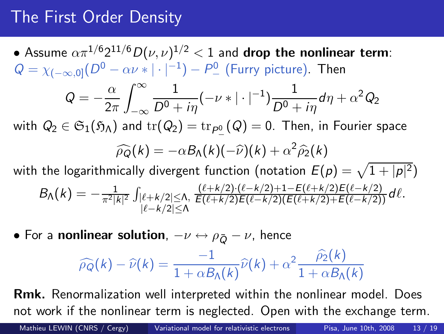## The First Order Density

 $2\pi$ 

 $\bullet$  Assume  $\alpha \pi^{1/6} 2^{11/6} D(\nu, \nu)^{1/2} < 1$  and drop the nonlinear term:  $Q = \chi_{(-\infty,0]}(D^0 - \alpha \nu * | \cdot |^{-1}) - P^0$  (Furry picture). Then  $Q = -\frac{\alpha}{2}$  $\int^{\infty}$ 1  $\frac{1}{D^0+i\eta}(-\nu *|\cdot|^{-1})\frac{1}{D^0+}$  $\frac{1}{D^0+i\eta}d\eta+\alpha^2Q_2$ 

−∞ with  $Q_2\in \mathfrak{S}_1(\mathfrak{H}_\Lambda)$  and  $\mathrm{tr}(Q_2)=\mathrm{tr}_{P_-^0}(Q)=0.$  Then, in Fourier space

$$
\widehat{\rho_Q}(k) = -\alpha B_{\Lambda}(k)(-\widehat{\nu})(k) + \alpha^2 \widehat{\rho}_2(k)
$$

with the logarithmically divergent function (notation  $E(\rho)=\sqrt{1+|\rho|^2})$  $B_{\Lambda}(k) = -\frac{1}{\pi^2|k|^2} \int_{|\ell+k/2| \leq \Lambda,} \frac{(\ell+k/2) \cdot (\ell-k/2) + 1 - E(\ell+k/2) E(\ell-k/2)}{E(\ell+k/2)E(\ell-k/2)(E(\ell+k/2) + E(\ell-k/2))} d\ell.$ |ℓ−k/2|≤Λ

• For a nonlinear solution,  $-\nu \leftrightarrow \rho_{\bar{O}} - \nu$ , hence

$$
\widehat{\rho_Q}(k) - \widehat{\nu}(k) = \frac{-1}{1 + \alpha B_{\Lambda}(k)} \widehat{\nu}(k) + \alpha^2 \frac{\widehat{\rho_2}(k)}{1 + \alpha B_{\Lambda}(k)}
$$

Rmk. Renormalization well interpreted within the nonlinear model. Does not work if the nonlinear term is neglected. Open with the exchange term.

Mathieu LEWIN (CNRS / Cergy) [Variational model for relativistic electrons](#page-0-0) Pisa, June 10th, 2008 13 / 19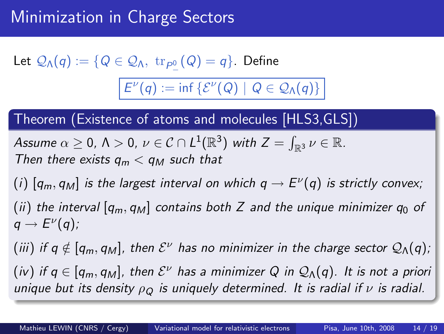Let  $\mathcal{Q}_{\Lambda}(q):=\{Q\in\mathcal{Q}_{\Lambda},\,\,\operatorname{tr}_{\rho_-^0}(Q)=q\}.$  Define

 $E^{\nu}(q) := \inf \{ \mathcal{E}^{\nu}(Q) \mid Q \in \mathcal{Q}_{\Lambda}(q) \}$ 

Theorem (Existence of atoms and molecules [HLS3,GLS])

Assume 
$$
\alpha \ge 0
$$
,  $\Lambda > 0$ ,  $\nu \in C \cap L^1(\mathbb{R}^3)$  with  $Z = \int_{\mathbb{R}^3} \nu \in \mathbb{R}$ .  
Then there exists  $q_m < q_M$  such that

 $(i)$   $[q_m,q_M]$  is the largest interval on which  $q\rightarrow E^\nu(q)$  is strictly convex; (ii) the interval  $[q_m, q_M]$  contains both Z and the unique minimizer  $q_0$  of  $q \to E^{\nu}(q)$ ;

(iii) if  $q\notin [q_m,q_M]$ , then  $\mathcal{E}^{\nu}$  has no minimizer in the charge sector  $\mathcal{Q}_{\Lambda}(q)$ ; (iv) if  $q\in[q_m,q_M]$ , then  $\mathcal{E}^\nu$  has a minimizer  $Q$  in  $\mathcal{Q}_\Lambda(q).$  It is not a priori unique but its density  $\rho_Q$  is uniquely determined. It is radial if  $\nu$  is radial.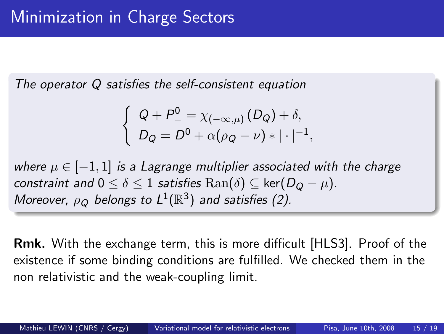The operator Q satisfies the self-consistent equation

$$
\begin{cases} Q + P_-^0 = \chi_{(-\infty,\mu)}(D_Q) + \delta, \\ D_Q = D^0 + \alpha(\rho_Q - \nu) * | \cdot |^{-1}, \end{cases}
$$

where  $\mu \in [-1,1]$  is a Lagrange multiplier associated with the charge constraint and  $0 \le \delta \le 1$  satisfies  $\text{Ran}(\delta) \subseteq \text{ker}(D_O - \mu)$ . Moreover,  $\rho_Q$  belongs to  $L^1(\mathbb{R}^3)$  and satisfies (2).

Rmk. With the exchange term, this is more difficult [HLS3]. Proof of the existence if some binding conditions are fulfilled. We checked them in the non relativistic and the weak-coupling limit.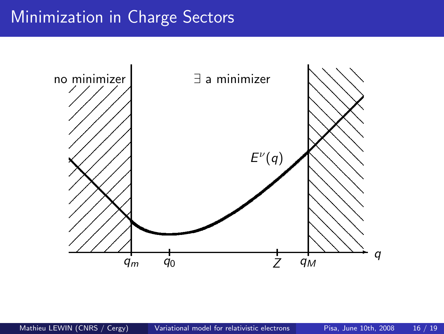## Minimization in Charge Sectors

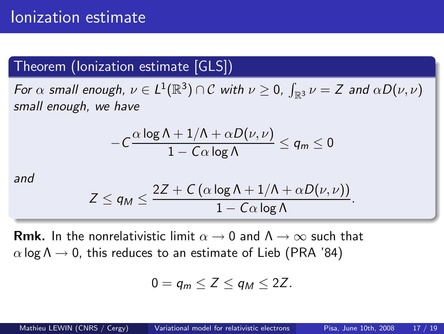### Theorem (Ionization estimate [GLS])

For  $\alpha$  small enough,  $\nu \in L^1({\mathbb R}^3)\cap {\mathcal C}$  with  $\nu \geq 0$ ,  $\int_{{\mathbb R}^3}\nu = Z$  and  $\alpha D(\nu, \nu)$ small enough, we have

$$
-C\frac{\alpha\log\Lambda+1/\Lambda+\alpha D(\nu,\nu)}{1-C\alpha\log\Lambda}\leq q_m\leq 0
$$

and

$$
Z \le q_M \le \frac{2Z + C(\alpha \log \Lambda + 1/\Lambda + \alpha D(\nu, \nu))}{1 - C\alpha \log \Lambda}.
$$

**Rmk.** In the nonrelativistic limit  $\alpha \to 0$  and  $\Lambda \to \infty$  such that  $\alpha$  log  $\Lambda \rightarrow 0$ , this reduces to an estimate of Lieb (PRA '84)

$$
0=q_m\leq Z\leq q_M\leq 2Z.
$$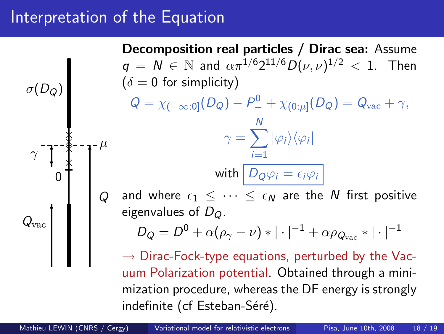### Interpretation of the Equation